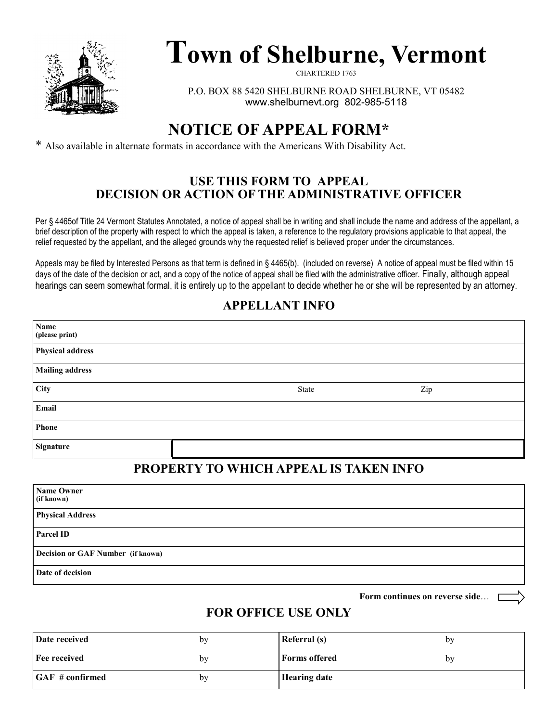

# **Town of Shelburne, Vermont**

CHARTERED 1763

P.O. BOX 88 5420 SHELBURNE ROAD SHELBURNE, VT 05482 www.shelburnevt.org 802-985-5118

## **NOTICE OF APPEAL FORM\***

\* Also available in alternate formats in accordance with the Americans With Disability Act.

#### **USE THIS FORM TO APPEAL DECISION OR ACTION OF THE ADMINISTRATIVE OFFICER**

Per § 4465of Title 24 Vermont Statutes Annotated, a notice of appeal shall be in writing and shall include the name and address of the appellant, a brief description of the property with respect to which the appeal is taken, a reference to the regulatory provisions applicable to that appeal, the relief requested by the appellant, and the alleged grounds why the requested relief is believed proper under the circumstances.

Appeals may be filed by Interested Persons as that term is defined in § 4465(b). (included on reverse) A notice of appeal must be filed within 15 days of the date of the decision or act, and a copy of the notice of appeal shall be filed with the administrative officer. Finally, although appeal hearings can seem somewhat formal, it is entirely up to the appellant to decide whether he or she will be represented by an attorney.

#### **APPELLANT INFO**

| Name<br>(please print)  |       |     |  |
|-------------------------|-------|-----|--|
| <b>Physical address</b> |       |     |  |
| <b>Mailing address</b>  |       |     |  |
| City                    | State | Zip |  |
| Email                   |       |     |  |
| Phone                   |       |     |  |
| Signature               |       |     |  |

### **PROPERTY TO WHICH APPEAL IS TAKEN INFO**

| <b>Name Owner</b><br>(if known)          |
|------------------------------------------|
| <b>Physical Address</b>                  |
| <b>Parcel ID</b>                         |
| <b>Decision or GAF Number</b> (if known) |
| Date of decision                         |

**Form continues on reverse side**…

#### **FOR OFFICE USE ONLY**

| Date received                | by | Referral (s)         | by |
|------------------------------|----|----------------------|----|
| Fee received                 | bv | <b>Forms offered</b> | bv |
| $\overline{GAF}$ # confirmed | by | <b>Hearing date</b>  |    |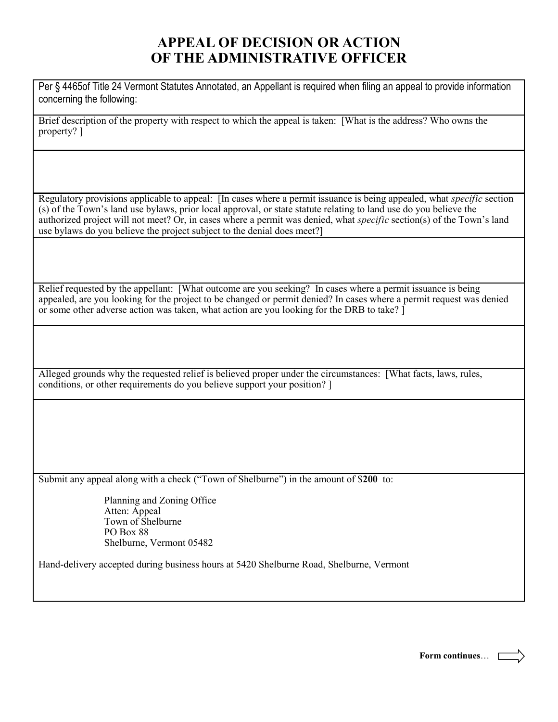#### **APPEAL OF DECISION OR ACTION OF THE ADMINISTRATIVE OFFICER**

Per § 4465of Title 24 Vermont Statutes Annotated, an Appellant is required when filing an appeal to provide information concerning the following:

Brief description of the property with respect to which the appeal is taken: [What is the address? Who owns the property? ]

Regulatory provisions applicable to appeal: [In cases where a permit issuance is being appealed, what *specific* section (s) of the Town's land use bylaws, prior local approval, or state statute relating to land use do you believe the authorized project will not meet? Or, in cases where a permit was denied, what *specific* section(s) of the Town's land use bylaws do you believe the project subject to the denial does meet?]

Relief requested by the appellant: [What outcome are you seeking? In cases where a permit issuance is being appealed, are you looking for the project to be changed or permit denied? In cases where a permit request was denied or some other adverse action was taken, what action are you looking for the DRB to take? ]

Alleged grounds why the requested relief is believed proper under the circumstances: [What facts, laws, rules, conditions, or other requirements do you believe support your position? ]

Submit any appeal along with a check ("Town of Shelburne") in the amount of \$**200** to:

Planning and Zoning Office Atten: Appeal Town of Shelburne PO Box 88 Shelburne, Vermont 05482

Hand-delivery accepted during business hours at 5420 Shelburne Road, Shelburne, Vermont

**Form continues**…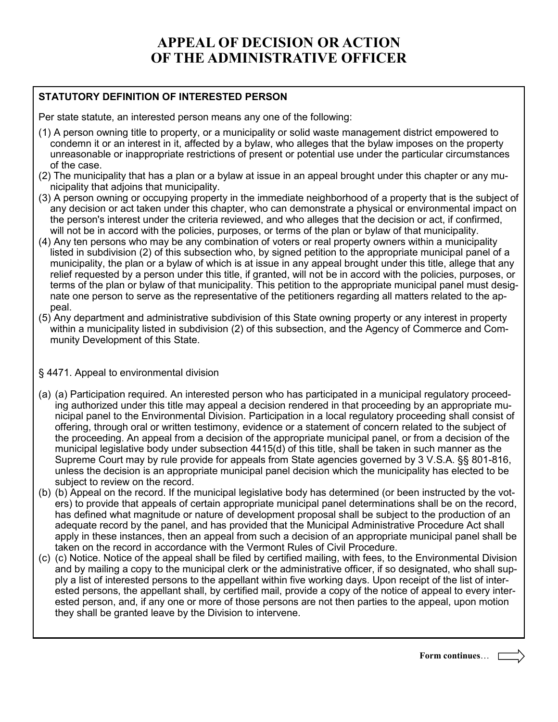## **APPEAL OF DECISION OR ACTION OF THE ADMINISTRATIVE OFFICER**

#### **STATUTORY DEFINITION OF INTERESTED PERSON**

Per state statute, an interested person means any one of the following:

- (1) A person owning title to property, or a municipality or solid waste management district empowered to condemn it or an interest in it, affected by a bylaw, who alleges that the bylaw imposes on the property unreasonable or inappropriate restrictions of present or potential use under the particular circumstances of the case.
- (2) The municipality that has a plan or a bylaw at issue in an appeal brought under this chapter or any municipality that adjoins that municipality.
- (3) A person owning or occupying property in the immediate neighborhood of a property that is the subject of any decision or act taken under this chapter, who can demonstrate a physical or environmental impact on the person's interest under the criteria reviewed, and who alleges that the decision or act, if confirmed, will not be in accord with the policies, purposes, or terms of the plan or bylaw of that municipality.
- (4) Any ten persons who may be any combination of voters or real property owners within a municipality listed in subdivision (2) of this subsection who, by signed petition to the appropriate municipal panel of a municipality, the plan or a bylaw of which is at issue in any appeal brought under this title, allege that any relief requested by a person under this title, if granted, will not be in accord with the policies, purposes, or terms of the plan or bylaw of that municipality. This petition to the appropriate municipal panel must designate one person to serve as the representative of the petitioners regarding all matters related to the appeal.
- (5) Any department and administrative subdivision of this State owning property or any interest in property within a municipality listed in subdivision (2) of this subsection, and the Agency of Commerce and Community Development of this State.

#### § 4471. Appeal to environmental division

- (a) (a) Participation required. An interested person who has participated in a municipal regulatory proceeding authorized under this title may appeal a decision rendered in that proceeding by an appropriate municipal panel to the Environmental Division. Participation in a local regulatory proceeding shall consist of offering, through oral or written testimony, evidence or a statement of concern related to the subject of the proceeding. An appeal from a decision of the appropriate municipal panel, or from a decision of the municipal legislative body under subsection 4415(d) of this title, shall be taken in such manner as the Supreme Court may by rule provide for appeals from State agencies governed by 3 V.S.A. §§ 801-816, unless the decision is an appropriate municipal panel decision which the municipality has elected to be subject to review on the record.
- (b) (b) Appeal on the record. If the municipal legislative body has determined (or been instructed by the voters) to provide that appeals of certain appropriate municipal panel determinations shall be on the record, has defined what magnitude or nature of development proposal shall be subject to the production of an adequate record by the panel, and has provided that the Municipal Administrative Procedure Act shall apply in these instances, then an appeal from such a decision of an appropriate municipal panel shall be taken on the record in accordance with the Vermont Rules of Civil Procedure.
- (c) (c) Notice. Notice of the appeal shall be filed by certified mailing, with fees, to the Environmental Division and by mailing a copy to the municipal clerk or the administrative officer, if so designated, who shall supply a list of interested persons to the appellant within five working days. Upon receipt of the list of interested persons, the appellant shall, by certified mail, provide a copy of the notice of appeal to every interested person, and, if any one or more of those persons are not then parties to the appeal, upon motion they shall be granted leave by the Division to intervene.